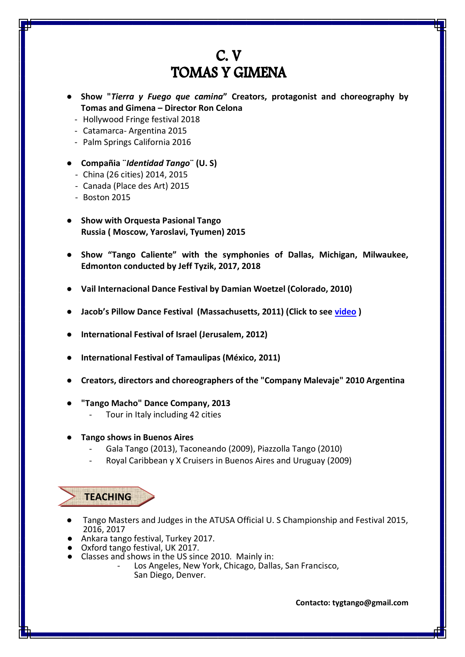## $C. V$ **TOMAS Y GIMENA**

- **● Show "***Tierra y Fuego que camina***" Creators, protagonist and choreography by Tomas and Gimena – Director Ron Celona**
	- Hollywood Fringe festival 2018
	- Catamarca- Argentina 2015
- Palm Springs California 2016
- **● Compañia ¨***Identidad Tango***¨ (U. S)**
- China (26 cities) 2014, 2015
- Canada (Place des Art) 2015
- Boston 2015
- **● Show with Orquesta Pasional Tango Russia ( Moscow, Yaroslavi, Tyumen) 2015**
- **● Show "Tango Caliente" with the symphonies of Dallas, Michigan, Milwaukee, Edmonton conducted by Jeff Tyzik, 2017, 2018**
- **● Vail Internacional Dance Festival by Damian Woetzel (Colorado, 2010)**
- **● Jacob's Pillow Dance Festival (Massachusetts, 2011) (Click to see [video](http://danceinteractive.jacobspillow.org/dance/tangueros-del-sur) )**
- **● International Festival of Israel (Jerusalem, 2012)**
- **● International Festival of Tamaulipas (México, 2011)**
- **● Creators, directors and choreographers of the "Company Malevaje" 2010 Argentina**
- **● "Tango Macho" Dance Company, 2013**
	- Tour in Italy including 42 cities
- **● Tango shows in Buenos Aires**
	- Gala Tango (2013), Taconeando (2009), Piazzolla Tango (2010)
	- Royal Caribbean y X Cruisers in Buenos Aires and Uruguay (2009)

 **TEACHING**

- Tango Masters and Judges in the ATUSA Official U. S Championship and Festival 2015, 2016, 2017
- Ankara tango festival, Turkey 2017.
- Oxford tango festival, UK 2017.
- Classes and shows in the US since 2010. Mainly in:
	- Los Angeles, New York, Chicago, Dallas, San Francisco, San Diego, Denver.

**Contacto: tygtango@gmail.com**